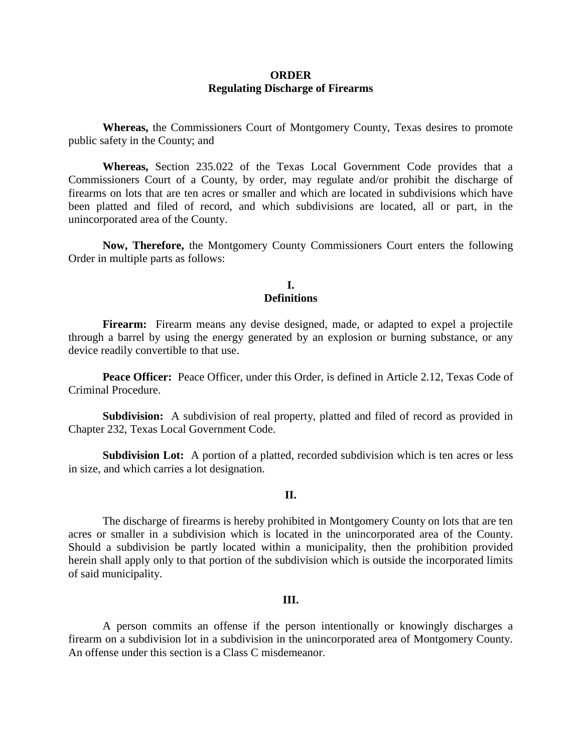## **ORDER Regulating Discharge of Firearms**

**Whereas,** the Commissioners Court of Montgomery County, Texas desires to promote public safety in the County; and

**Whereas,** Section 235.022 of the Texas Local Government Code provides that a Commissioners Court of a County, by order, may regulate and/or prohibit the discharge of firearms on lots that are ten acres or smaller and which are located in subdivisions which have been platted and filed of record, and which subdivisions are located, all or part, in the unincorporated area of the County.

**Now, Therefore,** the Montgomery County Commissioners Court enters the following Order in multiple parts as follows:

## **I. Definitions**

**Firearm:** Firearm means any devise designed, made, or adapted to expel a projectile through a barrel by using the energy generated by an explosion or burning substance, or any device readily convertible to that use.

**Peace Officer:** Peace Officer, under this Order, is defined in Article 2.12, Texas Code of Criminal Procedure.

**Subdivision:** A subdivision of real property, platted and filed of record as provided in Chapter 232, Texas Local Government Code.

Subdivision Lot: A portion of a platted, recorded subdivision which is ten acres or less in size, and which carries a lot designation.

#### **II.**

The discharge of firearms is hereby prohibited in Montgomery County on lots that are ten acres or smaller in a subdivision which is located in the unincorporated area of the County. Should a subdivision be partly located within a municipality, then the prohibition provided herein shall apply only to that portion of the subdivision which is outside the incorporated limits of said municipality.

#### **III.**

A person commits an offense if the person intentionally or knowingly discharges a firearm on a subdivision lot in a subdivision in the unincorporated area of Montgomery County. An offense under this section is a Class C misdemeanor.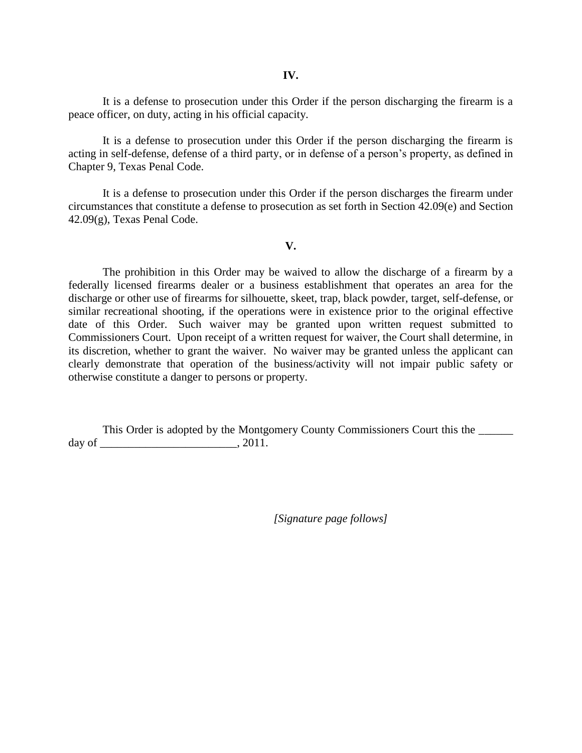It is a defense to prosecution under this Order if the person discharging the firearm is a peace officer, on duty, acting in his official capacity.

It is a defense to prosecution under this Order if the person discharging the firearm is acting in self-defense, defense of a third party, or in defense of a person's property, as defined in Chapter 9, Texas Penal Code.

It is a defense to prosecution under this Order if the person discharges the firearm under circumstances that constitute a defense to prosecution as set forth in Section 42.09(e) and Section 42.09(g), Texas Penal Code.

### **V.**

The prohibition in this Order may be waived to allow the discharge of a firearm by a federally licensed firearms dealer or a business establishment that operates an area for the discharge or other use of firearms for silhouette, skeet, trap, black powder, target, self-defense, or similar recreational shooting, if the operations were in existence prior to the original effective date of this Order. Such waiver may be granted upon written request submitted to Commissioners Court. Upon receipt of a written request for waiver, the Court shall determine, in its discretion, whether to grant the waiver. No waiver may be granted unless the applicant can clearly demonstrate that operation of the business/activity will not impair public safety or otherwise constitute a danger to persons or property.

This Order is adopted by the Montgomery County Commissioners Court this the \_\_\_\_\_\_ day of \_\_\_\_\_\_\_\_\_\_\_\_\_\_\_\_\_\_\_\_\_\_\_\_, 2011.

*[Signature page follows]*